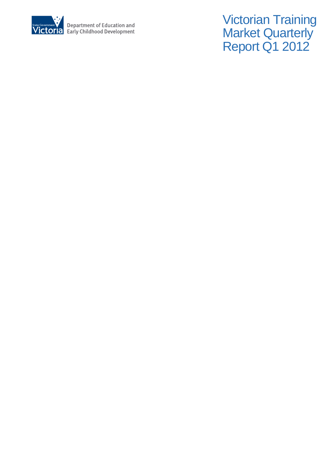

Victorian Training **Market Quarterly** Report Q1 2012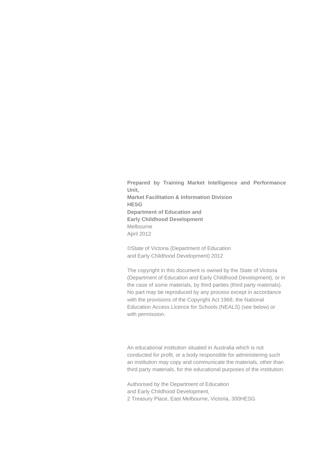**Prepared by Training Market Intelligence and Performance Unit, Market Facilitation & Information Division HESG Department of Education and Early Childhood Development**  Melbourne April 2012

©State of Victoria (Department of Education and Early Childhood Development) 2012

The copyright in this document is owned by the State of Victoria (Department of Education and Early Childhood Development), or in the case of some materials, by third parties (third party materials). No part may be reproduced by any process except in accordance with the provisions of the Copyright Act 1968, the National Education Access Licence for Schools (NEALS) (see below) or with permission.

An educational institution situated in Australia which is not conducted for profit, or a body responsible for administering such an institution may copy and communicate the materials, other than third party materials, for the educational purposes of the institution.

Authorised by the Department of Education and Early Childhood Development, 2 Treasury Place, East Melbourne, Victoria, 300HESG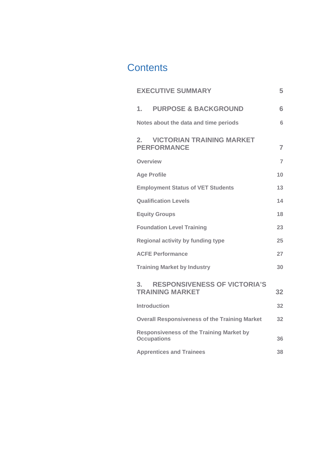# **Contents**

| <b>EXECUTIVE SUMMARY</b>                                              | 5              |
|-----------------------------------------------------------------------|----------------|
| <b>PURPOSE &amp; BACKGROUND</b><br>1.                                 | 6              |
| Notes about the data and time periods                                 | $6\phantom{1}$ |
| 2.<br><b>VICTORIAN TRAINING MARKET</b><br><b>PERFORMANCE</b>          | $\overline{7}$ |
| <b>Overview</b>                                                       | $\overline{7}$ |
| <b>Age Profile</b>                                                    | 10             |
| <b>Employment Status of VET Students</b>                              | 13             |
| <b>Qualification Levels</b>                                           | 14             |
| <b>Equity Groups</b>                                                  | 18             |
| <b>Foundation Level Training</b>                                      | 23             |
| Regional activity by funding type                                     | 25             |
| <b>ACFE Performance</b>                                               | 27             |
| <b>Training Market by Industry</b>                                    | 30             |
| <b>RESPONSIVENESS OF VICTORIA'S</b><br>3.<br><b>TRAINING MARKET</b>   | 32             |
| <b>Introduction</b>                                                   | 32             |
| <b>Overall Responsiveness of the Training Market</b>                  | 32             |
| <b>Responsiveness of the Training Market by</b><br><b>Occupations</b> | 36             |
| <b>Apprentices and Trainees</b>                                       | 38             |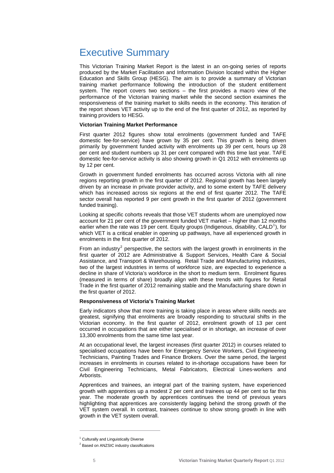# <span id="page-4-0"></span>Executive Summary

This Victorian Training Market Report is the latest in an on-going series of reports produced by the Market Facilitation and Information Division located within the Higher Education and Skills Group (HESG). The aim is to provide a summary of Victorian training market performance following the introduction of the student entitlement system. The report covers two sections – the first provides a macro view of the performance of the Victorian training market while the second section examines the responsiveness of the training market to skills needs in the economy. This iteration of the report shows VET activity up to the end of the first quarter of 2012, as reported by training providers to HESG.

# **Victorian Training Market Performance**

First quarter 2012 figures show total enrolments (government funded and TAFE domestic fee-for-service) have grown by 35 per cent. This growth is being driven primarily by government funded activity with enrolments up 39 per cent, hours up 28 per cent and student numbers up 31 per cent compared with this time last year. TAFE domestic fee-for-service activity is also showing growth in Q1 2012 with enrolments up by 12 per cent.

Growth in government funded enrolments has occurred across Victoria with all nine regions reporting growth in the first quarter of 2012. Regional growth has been largely driven by an increase in private provider activity, and to some extent by TAFE delivery which has increased across six regions at the end of first quarter 2012. The TAFE sector overall has reported 9 per cent growth in the first quarter of 2012 (government funded training).

Looking at specific cohorts reveals that those VET students whom are unemployed now account for 21 per cent of the government funded VET market – higher than 12 months earlier when the rate was [1](#page-4-1)9 per cent. Equity groups (Indigenous, disability, CALD<sup>1</sup>), for which VET is a critical enabler in opening up pathways, have all experienced growth in enrolments in the first quarter of 2012.

From an industry<sup>[2](#page-4-2)</sup> perspective, the sectors with the largest growth in enrolments in the first quarter of 2012 are Administrative & Support Services, Health Care & Social Assistance, and Transport & Warehousing. Retail Trade and Manufacturing industries, two of the largest industries in terms of workforce size, are expected to experience a decline in share of Victoria's workforce in the short to medium term. Enrolment figures (measured in terms of share) broadly align with these trends with figures for Retail Trade in the first quarter of 2012 remaining stable and the Manufacturing share down in the first quarter of 2012.

#### **Responsiveness of Victoria's Training Market**

Early indicators show that more training is taking place in areas where skills needs are greatest, signifying that enrolments are broadly responding to structural shifts in the Victorian economy. In the first quarter of 2012, enrolment growth of 13 per cent occurred in occupations that are either specialised or in shortage, an increase of over 13,300 enrolments from the same time last year.

At an occupational level, the largest increases (first quarter 2012) in courses related to specialised occupations have been for Emergency Service Workers, Civil Engineering Technicians, Painting Trades and Finance Brokers. Over the same period, the largest increases in enrolments in courses related to in-shortage occupations have been for Civil Engineering Technicians, Metal Fabricators, Electrical Lines-workers and Arborists.

Apprentices and trainees, an integral part of the training system, have experienced growth with apprentices up a modest 2 per cent and trainees up 44 per cent so far this year. The moderate growth by apprentices continues the trend of previous years highlighting that apprentices are consistently lagging behind the strong growth of the VET system overall. In contrast, trainees continue to show strong growth in line with growth in the VET system overall.

 $\overline{a}$ 

<span id="page-4-2"></span><span id="page-4-1"></span><sup>&</sup>lt;sup>1</sup> Culturally and Linguistically Diverse

<sup>&</sup>lt;sup>2</sup> Based on ANZSIC industry classifications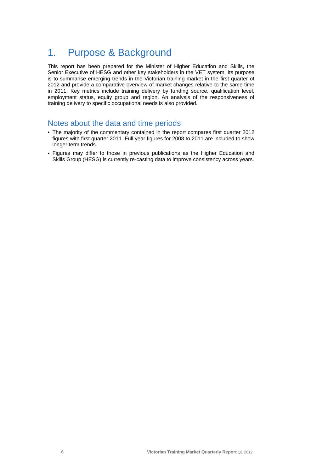# <span id="page-5-0"></span>1. Purpose & Background

This report has been prepared for the Minister of Higher Education and Skills, the Senior Executive of HESG and other key stakeholders in the VET system. Its purpose is to summarise emerging trends in the Victorian training market in the first quarter of 2012 and provide a comparative overview of market changes relative to the same time in 2011. Key metrics include training delivery by funding source, qualification level, employment status, equity group and region. An analysis of the responsiveness of training delivery to specific occupational needs is also provided.

# Notes about the data and time periods

- The majority of the commentary contained in the report compares first quarter 2012 figures with first quarter 2011. Full year figures for 2008 to 2011 are included to show longer term trends.
- Figures may differ to those in previous publications as the Higher Education and Skills Group (HESG) is currently re-casting data to improve consistency across years.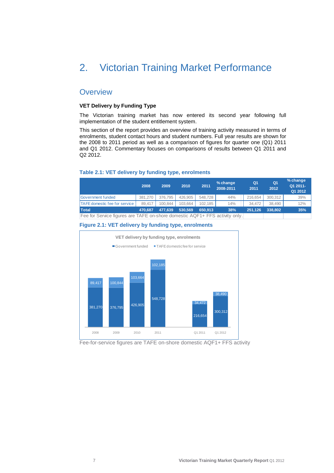# <span id="page-6-0"></span>2. Victorian Training Market Performance

# **Overview**

#### **VET Delivery by Funding Type**

The Victorian training market has now entered its second year following full implementation of the student entitlement system.

This section of the report provides an overview of training activity measured in terms of enrolments, student contact hours and student numbers. Full year results are shown for the 2008 to 2011 period as well as a comparison of figures for quarter one (Q1) 2011 and Q1 2012. Commentary focuses on comparisons of results between Q1 2011 and Q2 2012.

#### **2008 2009 2010 2011 % change 2008-2011 Q1 2011 Q1 2012 % change Q1 2011- Q1 2012** Government funded 381,270 376,795 426,905 548,728 44% 216,654 300,312 39% TAFE domestic fee for service 39,417 100,844 103,664 102,185 14% 34,472 38,490 12% **Total 477,639 470,687 530,569 650,913 38% 251,126 338,802 35%** Fee for Service figures are TAFE on-shore domestic AQF1+ FFS activity only.







Fee-for-service figures are TAFE on-shore domestic AQF1+ FFS activity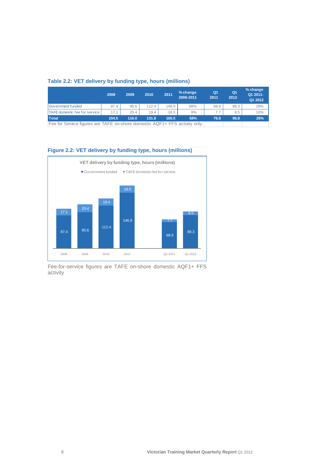# **Table 2.2: VET delivery by funding type, hours (millions)**

|                                                                             | 2008  | 2009  | 2010  | 2011  | % change<br>2008-2011 | Q <sub>1</sub><br>2011 | Q <sub>1</sub><br>2012 | % change<br>Q1 2011-<br>Q1 2012 |
|-----------------------------------------------------------------------------|-------|-------|-------|-------|-----------------------|------------------------|------------------------|---------------------------------|
| Government funded                                                           | 87.4  | 95.6  | 112.4 | 146.9 | 68%                   | 68.9                   | 88.3                   | 28%                             |
| <b>TAFE domestic fee for service</b>                                        | 17.1  | 20.4  | 19.4  | 18.5  | 8%                    | 7.7                    | 8.5                    | 10%                             |
| Total                                                                       | 104.5 | 116.0 | 131.8 | 165.5 | 58%                   | 76.6                   | 96.8                   | 26%                             |
| Fee for Service figures are TAFE on-shore domestic AQF1+ FFS activity only. |       |       |       |       |                       |                        |                        |                                 |

# **Figure 2.2: VET delivery by funding type, hours (millions)**



Fee-for-service figures are TAFE on-shore domestic AQF1+ FFS activity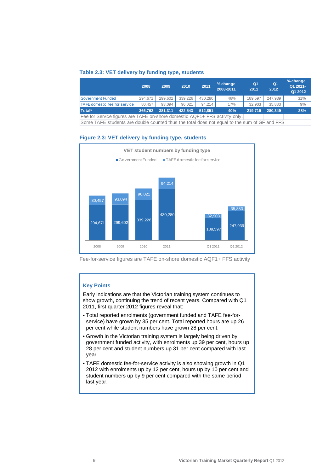#### **Table 2.3: VET delivery by funding type, students**

|                                                                             | 2008    | 2009    | 2010    | 2011    | % change<br>2008-2011 | Q1<br>2011 | Q1<br>2012 | % change<br>Q1 2011-<br>Q1 2012 |
|-----------------------------------------------------------------------------|---------|---------|---------|---------|-----------------------|------------|------------|---------------------------------|
| <b>Government Funded</b>                                                    | 294.671 | 299.602 | 339.226 | 430.280 | 46%                   | 189.597    | 247.939    | 31%                             |
| <b>TAFE domestic fee for service</b>                                        | 80.457  | 93.094  | 96.021  | 94.214  | 17%                   | 32.903     | 35.883     | 9%                              |
| Total*                                                                      | 366,762 | 381.311 | 422.543 | 512.851 | 40%                   | 219,719    | 280,349    | 28%                             |
| Fee for Service figures are TAFE on-shore domestic AQF1+ FFS activity only. |         |         |         |         |                       |            |            |                                 |

Some TAFE students are double counted thus the total does not equal to the sum of GF and FFS



#### **Figure 2.3: VET delivery by funding type, students**

Fee-for-service figures are TAFE on-shore domestic AQF1+ FFS activity

# **Key Points**

Early indications are that the Victorian training system continues to show growth, continuing the trend of recent years. Compared with Q1 2011, first quarter 2012 figures reveal that:

- Total reported enrolments (government funded and TAFE fee-forservice) have grown by 35 per cent. Total reported hours are up 26 per cent while student numbers have grown 28 per cent.
- Growth in the Victorian training system is largely being driven by government funded activity, with enrolments up 39 per cent, hours up 28 per cent and student numbers up 31 per cent compared with last year.
- TAFE domestic fee-for-service activity is also showing growth in Q1 2012 with enrolments up by 12 per cent, hours up by 10 per cent and student numbers up by 9 per cent compared with the same period last year.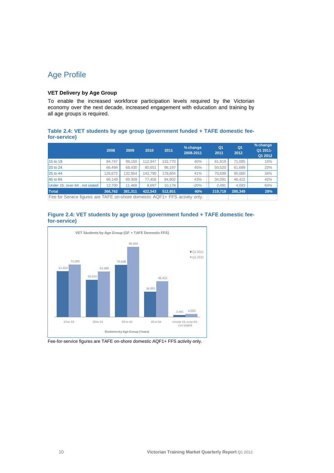# <span id="page-9-0"></span>Age Profile

# **VET Delivery by Age Group**

To enable the increased workforce participation levels required by the Victorian economy over the next decade, increased engagement with education and training by all age groups is required.

#### **Table 2.4: VET students by age group (government funded + TAFE domestic feefor-service)**

|                                                                             | 2008    | 2009    | 2010    | 2011    | % change<br>2008-2011 | Q <sub>1</sub><br>2011 | Q1<br>2012 | % change<br>Q1 2011-<br>Q1 2012 |
|-----------------------------------------------------------------------------|---------|---------|---------|---------|-----------------------|------------------------|------------|---------------------------------|
| 15 to 19                                                                    | 94.747  | 99,150  | 112.947 | 132.770 | 40%                   | 61.919                 | 71.085     | 15%                             |
| 20 to 24                                                                    | 66.494  | 68.430  | 80.651  | 96.197  | 45%                   | 50.520                 | 61.689     | 22%                             |
| 25 to 44                                                                    | 126.672 | 132.954 | 142.790 | 178.804 | 41%                   | 70,698                 | 95.060     | 34%                             |
| 45 to 64                                                                    | 66.149  | 69.309  | 77.458  | 94.902  | 43%                   | 34.091                 | 48.422     | 42%                             |
| Under 15, over 64, not stated                                               | 12.700  | 11.468  | 8.697   | 10.178  | $-20%$                | 2.491                  | 4.093      | 64%                             |
| Total                                                                       | 366.762 | 381.311 | 422.543 | 512.851 | 40%                   | 219,719                | 280,349    | 28%                             |
| Fee for Service figures are TAFE on-shore domestic AQF1+ FFS activity only. |         |         |         |         |                       |                        |            |                                 |





Fee-for-service figures are TAFE on-shore domestic AQF1+ FFS activity only.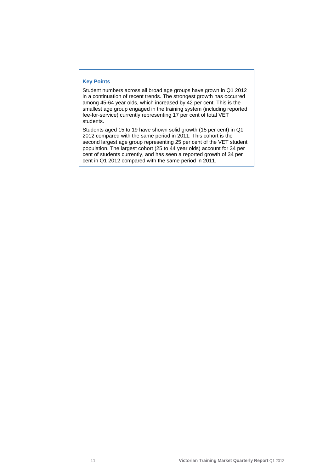#### **Key Points**

Student numbers across all broad age groups have grown in Q1 2012 in a continuation of recent trends. The strongest growth has occurred among 45-64 year olds, which increased by 42 per cent. This is the smallest age group engaged in the training system (including reported fee-for-service) currently representing 17 per cent of total VET students.

Students aged 15 to 19 have shown solid growth (15 per cent) in Q1 2012 compared with the same period in 2011. This cohort is the second largest age group representing 25 per cent of the VET student population. The largest cohort (25 to 44 year olds) account for 34 per cent of students currently, and has seen a reported growth of 34 per cent in Q1 2012 compared with the same period in 2011.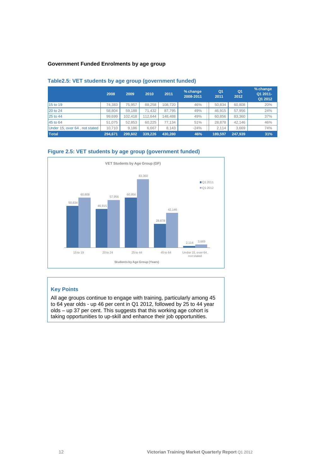# **Government Funded Enrolments by age group**

|                               | 2008    | 2009    | 2010    | 2011    | % change<br>2008-2011 | Q <sub>1</sub><br>2011 | Q <sub>1</sub><br>2012 | % change<br>Q1 2011-<br>Q1 2012 |
|-------------------------------|---------|---------|---------|---------|-----------------------|------------------------|------------------------|---------------------------------|
| 15 to 19                      | 74.383  | 75.957  | 88.258  | 108.720 | 46%                   | 50.834                 | 60.808                 | 20%                             |
| 20 to 24                      | 58.804  | 59,188  | 71.432  | 87.795  | 49%                   | 46.915                 | 57.956                 | 24%                             |
| 25 to 44                      | 99.699  | 102.418 | 112.644 | 148.488 | 49%                   | 60.856                 | 83.360                 | 37%                             |
| 45 to 64                      | 51.075  | 52.853  | 60.225  | 77.134  | 51%                   | 28.878                 | 42.146                 | 46%                             |
| Under 15, over 64, not stated | 10.710  | 9.186   | 6.667   | 8.143   | $-24%$                | 2.114                  | 3,669                  | 74%                             |
| Total                         | 294.671 | 299.602 | 339,226 | 430.280 | 46%                   | 189,597                | 247.939                | 31%                             |

# **Table2.5: VET students by age group (government funded)**





# **Key Points**

All age groups continue to engage with training, particularly among 45 to 64 year olds - up 46 per cent in Q1 2012, followed by 25 to 44 year olds – up 37 per cent. This suggests that this working age cohort is taking opportunities to up-skill and enhance their job opportunities.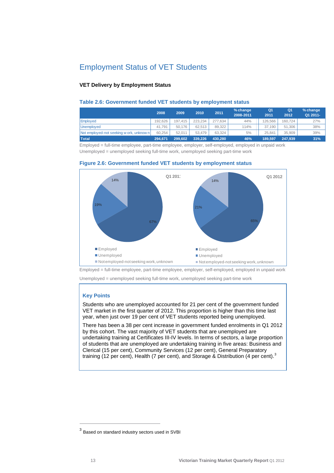# <span id="page-12-0"></span>Employment Status of VET Students

# **VET Delivery by Employment Status**

#### **Table 2.6: Government funded VET students by employment status**

|                                          | 2008    | 2009    | 2010    | 2011    | $%$ change<br>2008-2011 | Q <sub>1</sub><br>2011 | Q <sub>1</sub><br>2012 | $%$ change<br>Q1 2011- |
|------------------------------------------|---------|---------|---------|---------|-------------------------|------------------------|------------------------|------------------------|
| <b>Emploved</b>                          | 192.626 | 197.415 | 223.234 | 277.634 | 44%                     | 126.566                | 160.724                | 27%                    |
| Unemploved                               | 41.791  | 50.176  | 62.513  | 89.322  | 114%                    | 37.190                 | 51.306                 | 38%                    |
| Not employed-not seeking w ork, unknow n | 60.254  | 52.011  | 53.479  | 63.324  | 5%                      | 25.841                 | 35.909                 | 39%                    |
| <b>Total</b>                             | 294.671 | 299.602 | 339,226 | 430.280 | 46%                     | 189.597                | 247.939                | 31%                    |

Employed = full-time employee, part-time employee, employer, self-employed, employed in unpaid work Unemployed = unemployed seeking full-time work, unemployed seeking part-time work





Employed = full-time employee, part-time employee, employer, self-employed, employed in unpaid work

Unemployed = unemployed seeking full-time work, unemployed seeking part-time work

# **Key Points**

Students who are unemployed accounted for 21 per cent of the government funded VET market in the first quarter of 2012. This proportion is higher than this time last year, when just over 19 per cent of VET students reported being unemployed.

There has been a 38 per cent increase in government funded enrolments in Q1 2012 by this cohort. The vast majority of VET students that are unemployed are undertaking training at Certificates III-IV levels. In terms of sectors, a large proportion of students that are unemployed are undertaking training in five areas: Business and Clerical (15 per cent), Community Services (12 per cent), General Preparatory training (12 per cent), Health (7 per cent), and Storage & Distribution (4 per cent).<sup>[3](#page-12-0)</sup>

 $\overline{a}$ 

<sup>3</sup> Based on standard industry sectors used in SVBI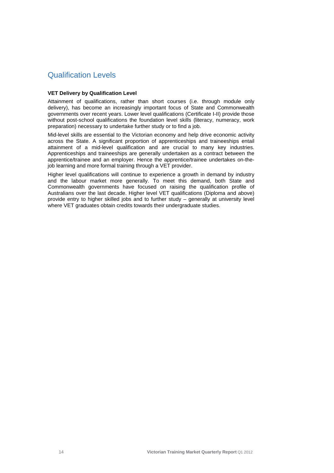# <span id="page-13-0"></span>Qualification Levels

# **VET Delivery by Qualification Level**

Attainment of qualifications, rather than short courses (i.e. through module only delivery), has become an increasingly important focus of State and Commonwealth governments over recent years. Lower level qualifications (Certificate I-II) provide those without post-school qualifications the foundation level skills (literacy, numeracy, work preparation) necessary to undertake further study or to find a job.

Mid-level skills are essential to the Victorian economy and help drive economic activity across the State. A significant proportion of apprenticeships and traineeships entail attainment of a mid-level qualification and are crucial to many key industries. Apprenticeships and traineeships are generally undertaken as a contract between the apprentice/trainee and an employer. Hence the apprentice/trainee undertakes on-thejob learning and more formal training through a VET provider.

Higher level qualifications will continue to experience a growth in demand by industry and the labour market more generally. To meet this demand, both State and Commonwealth governments have focused on raising the qualification profile of Australians over the last decade. Higher level VET qualifications (Diploma and above) provide entry to higher skilled jobs and to further study – generally at university level where VET graduates obtain credits towards their undergraduate studies.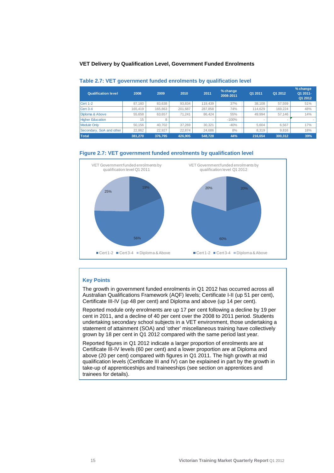#### **VET Delivery by Qualification Level, Government Funded Enrolments**

| <b>Qualification level</b> | 2008    | 2009    | 2010    | 2011    | % change<br>2008-2011 | Q1 2011 | Q1 2012 | % change<br>Q1 2011-<br>Q1 2012 |
|----------------------------|---------|---------|---------|---------|-----------------------|---------|---------|---------------------------------|
| Cert 1-2                   | 87.160  | 83.638  | 93.834  | 119.439 | 37%                   | 38.108  | 57.559  | 51%                             |
| Cert 3-4                   | 165.419 | 165,863 | 201.687 | 287.858 | 74%                   | 114.629 | 169.224 | 48%                             |
| Diploma & Above            | 55.658  | 63.657  | 71.241  | 86.424  | 55%                   | 49.994  | 57.146  | 14%                             |
| <b>Higher Education</b>    | 15      |         |         |         | $-100%$               |         |         |                                 |
| Module Only                | 50.156  | 40.702  | 37.269  | 30.321  | $-40%$                | 5.604   | 6.567   | 17%                             |
| Secondary, SoA and other   | 22,862  | 22,927  | 22.874  | 24,686  | 8%                    | 8.319   | 9.816   | 18%                             |
| <b>Total</b>               | 381.270 | 376.795 | 426.905 | 548,728 | 44%                   | 216.654 | 300.312 | 39%                             |

#### **Table 2.7: VET government funded enrolments by qualification level**

#### **Figure 2.7: VET government funded enrolments by qualification level**



# **Key Points**

The growth in government funded enrolments in Q1 2012 has occurred across all Australian Qualifications Framework (AQF) levels; Certificate I-II (up 51 per cent), Certificate III-IV (up 48 per cent) and Diploma and above (up 14 per cent).

Reported module only enrolments are up 17 per cent following a decline by 19 per cent in 2011, and a decline of 40 per cent over the 2008 to 2011 period. Students undertaking secondary school subjects in a VET environment, those undertaking a statement of attainment (SOA) and 'other' miscellaneous training have collectively grown by 18 per cent in Q1 2012 compared with the same period last year.

Reported figures in Q1 2012 indicate a larger proportion of enrolments are at Certificate III-IV levels (60 per cent) and a lower proportion are at Diploma and above (20 per cent) compared with figures in Q1 2011. The high growth at mid qualification levels (Certificate III and IV) can be explained in part by the growth in take-up of apprenticeships and traineeships (see section on apprentices and trainees for details).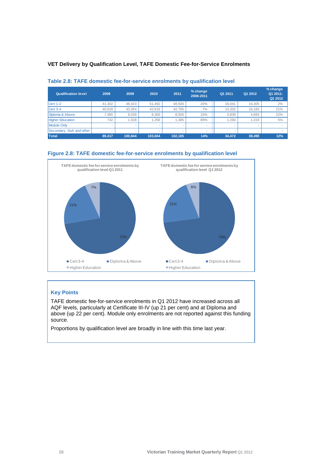# **VET Delivery by Qualification Level, TAFE Domestic Fee-for-Service Enrolments**

| <b>Qualification level</b> | 2008   | 2009    | 2010    | 2011                     | % change<br>2008-2011 | Q1 2011                  | Q1 2012 | % change<br>Q1 2011-<br>Q1 2012 |
|----------------------------|--------|---------|---------|--------------------------|-----------------------|--------------------------|---------|---------------------------------|
| Cert 1-2                   | 41.302 | 48.423  | 51.492  | 49.500                   | 20%                   | 16.041                   | 16.305  | 2%                              |
| Cert 3-4                   | 40.018 | 43,354  | 42.616  | 42.795                   | 7%                    | 13,332                   | 16.183  | 21%                             |
| Diploma & Above            | 7.365  | 8.039   | 8.300   | 8.505                    | 15%                   | 3.839                    | 4.683   | 22%                             |
| <b>Higher Education</b>    | 732    | 1.028   | 1.256   | 1.385                    | 89%                   | .260                     | 1.319   | 5%                              |
| Module Only                | $\sim$ |         |         | $\overline{\phantom{a}}$ | $\sim$                | $\overline{\phantom{a}}$ |         |                                 |
| Secondary, SoA and other   | $\sim$ |         |         |                          | $\sim$                | $\overline{\phantom{a}}$ | -       |                                 |
| Total                      | 89.417 | 100.844 | 103.664 | 102.185                  | 14%                   | 34.472                   | 38,490  | 12%                             |

# **Table 2.8: TAFE domestic fee-for-service enrolments by qualification level**

# **Figure 2.8: TAFE domestic fee-for-service enrolments by qualification level**



# **Key Points**

TAFE domestic fee-for-service enrolments in Q1 2012 have increased across all AQF levels, particularly at Certificate III-IV (up 21 per cent) and at Diploma and above (up 22 per cent). Module only enrolments are not reported against this funding source.

Proportions by qualification level are broadly in line with this time last year.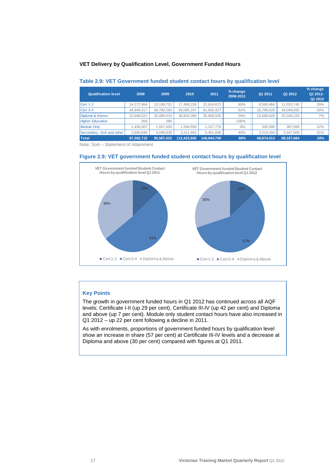#### **VET Delivery by Qualification Level, Government Funded Hours**

| Qualification level      | 2008       | 2009       | 2010        | 2011        | % change<br>2008-2011 | Q1 2011    | Q1 2012    | % change<br>Q1 2011-<br>Q1 2012 |
|--------------------------|------------|------------|-------------|-------------|-----------------------|------------|------------|---------------------------------|
| Cert 1-2                 | 14.172.964 | 15.199.752 | 17,498,228  | 22.614.672  | 60%                   | 8.565.464  | 11.033.740 | 29%                             |
| Cert 3-4                 | 44,949,317 | 48,790,269 | 59,085,247  | 81.650.427  | 82%                   | 33,799,026 | 48.048.092 | 42%                             |
| Diploma & Above          | 22.949.521 | 25,990,419 | 30,934,399  | 35.900.045  | 56%                   | 23.689.429 | 25.340.224 | 7%                              |
| <b>Higher Education</b>  | 258        | 286        |             |             | $-100%$               |            |            |                                 |
| Module Only              | ,430,007   | 1,557,458  | 1,594,559   | 1.317.776   | $-8%$                 | 300.590    | 367,999    | 22%                             |
| Secondary, SoA and other | 3,890,648  | 4,048,839  | 3,311,493   | 5,461,838   | 40%                   | 2,519,504  | 3,547,609  | 41%                             |
| <b>Total</b>             | 87.392.715 | 95.587.023 | 112.423.926 | 146.944.758 | 68%                   | 68.874.013 | 88.337.664 | 28%                             |

#### **Table 2.9: VET Government funded student contact hours by qualification level**

Note: SoA – Statement of Attainment





# **Key Points**

The growth in government funded hours in Q1 2012 has continued across all AQF levels; Certificate I-II (up 29 per cent), Certificate III-IV (up 42 per cent) and Diploma and above (up 7 per cent). Module only student contact hours have also increased in Q1 2012 – up 22 per cent following a decline in 2011.

As with enrolments, proportions of government funded hours by qualification level show an increase in share (57 per cent) at Certificate III-IV levels and a decrease at Diploma and above (30 per cent) compared with figures at Q1 2011.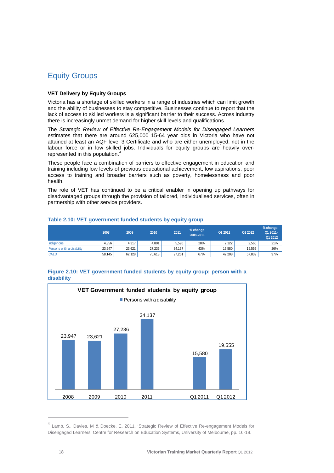# <span id="page-17-0"></span>Equity Groups

### **VET Delivery by Equity Groups**

Victoria has a shortage of skilled workers in a range of industries which can limit growth and the ability of businesses to stay competitive. Businesses continue to report that the lack of access to skilled workers is a significant barrier to their success. Across industry there is increasingly unmet demand for higher skill levels and qualifications.

The *Strategic Review of Effective Re-Engagement Models for Disengaged Learners*  estimates that there are around 625,000 15-64 year olds in Victoria who have not attained at least an AQF level 3 Certificate and who are either unemployed, not in the labour force or in low skilled jobs. Individuals for equity groups are heavily over-represented in this population.<sup>[4](#page-17-0)</sup>

These people face a combination of barriers to effective engagement in education and training including low levels of previous educational achievement, low aspirations, poor access to training and broader barriers such as poverty, homelessness and poor health.

The role of VET has continued to be a critical enabler in opening up pathways for disadvantaged groups through the provision of tailored, individualised services, often in partnership with other service providers.

|                           | 2008   | 2009   | 2010   | 2011   | % change<br>2008-2011 | Q1 2011 | Q1 2012 | % change<br>Q1 2011-<br>Q1 2012 |
|---------------------------|--------|--------|--------|--------|-----------------------|---------|---------|---------------------------------|
| <b>Indigenous</b>         | 4.356  | 4,317  | 4.801  | 5,590  | 28%                   | 2.122   | 2.566   | 21%                             |
| Persons with a disability | 23.947 | 23.621 | 27.236 | 34.137 | 43%                   | 15.580  | 19.555  | 26%                             |
| <b>ICALD</b>              | 58.145 | 62,128 | 70,618 | 97.261 | 67%                   | 42,208  | 57.839  | 37%                             |

#### **Table 2.10: VET government funded students by equity group**

#### **Figure 2.10: VET government funded students by equity group: person with a disability**



<sup>&</sup>lt;sup>4</sup> Lamb, S., Davies, M & Doecke, E. 2011, 'Strategic Review of Effective Re-engagement Models for Disengaged Learners' Centre for Research on Education Systems, University of Melbourne, pp. 16-18.

 $\overline{a}$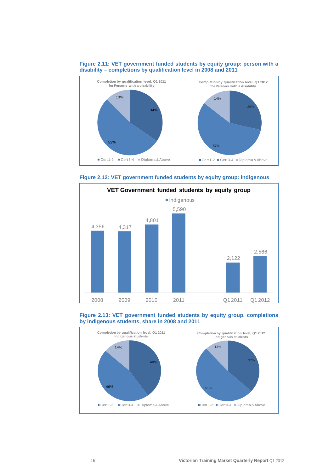

#### **Figure 2.11: VET government funded students by equity group: person with a disability – completions by qualification level in 2008 and 2011**







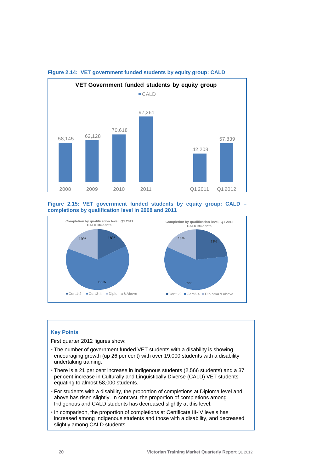

### **Figure 2.14: VET government funded students by equity group: CALD**





#### **Key Points**

First quarter 2012 figures show:

- The number of government funded VET students with a disability is showing encouraging growth (up 26 per cent) with over 19,000 students with a disability undertaking training.
- There is a 21 per cent increase in Indigenous students (2,566 students) and a 37 per cent increase in Culturally and Linguistically Diverse (CALD) VET students equating to almost 58,000 students.
- For students with a disability, the proportion of completions at Diploma level and above has risen slightly. In contrast, the proportion of completions among Indigenous and CALD students has decreased slightly at this level.
- In comparison, the proportion of completions at Certificate III-IV levels has increased among Indigenous students and those with a disability, and decreased slightly among CALD students.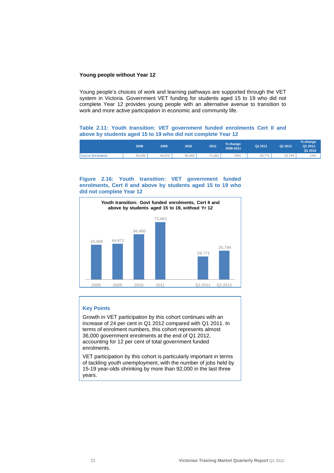#### **Young people without Year 12**

Young people's choices of work and learning pathways are supported through the VET system in Victoria. Government VET funding for students aged 15 to 19 who did not complete Year 12 provides young people with an alternative avenue to transition to work and more active participation in economic and community life.

### **Table 2.11: Youth transition: VET government funded enrolments Cert II and above by students aged 15 to 19 who did not complete Year 12**

|                   | 2008   | 2009   | 2010   | 2011   | % change<br>2008-2011 | Q1 2011 | Q1 2012 | % change<br>Q1 2011-<br>Q1 2012 |
|-------------------|--------|--------|--------|--------|-----------------------|---------|---------|---------------------------------|
| Course Enrolments | 43.406 | 44.672 | 56.460 | 71.681 | 65%                   | 28.771  | 35,794  | 24%                             |

#### **Figure 2.16: Youth transition: VET government funded enrolments, Cert II and above by students aged 15 to 19 who did not complete Year 12**



#### **Key Points**

Growth in VET participation by this cohort continues with an increase of 24 per cent in Q1 2012 compared with Q1 2011. In terms of enrolment numbers, this cohort represents almost 36,000 government enrolments at the end of Q1 2012, accounting for 12 per cent of total government funded enrolments.

VET participation by this cohort is particularly important in terms of tackling youth unemployment, with the number of jobs held by 15-19 year-olds shrinking by more than 92,000 in the last three years.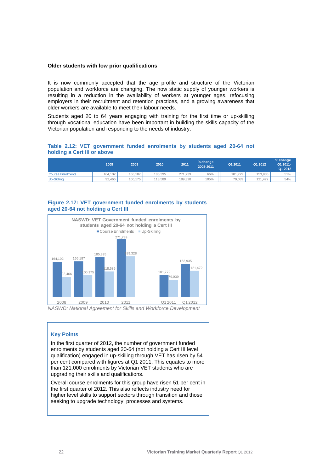#### **Older students with low prior qualifications**

It is now commonly accepted that the age profile and structure of the Victorian population and workforce are changing. The now static supply of younger workers is resulting in a reduction in the availability of workers at younger ages, refocusing employers in their recruitment and retention practices, and a growing awareness that older workers are available to meet their labour needs.

Students aged 20 to 64 years engaging with training for the first time or up-skilling through vocational education have been important in building the skills capacity of the Victorian population and responding to the needs of industry.

# **Table 2.12: VET government funded enrolments by students aged 20-64 not holding a Cert III or above**

|                   | 2008    | 2009    | 2010    | 2011    | % change<br>2008-2011 | Q1 2011 | Q1 2012 | % change<br>Q1 2011-<br>Q1 2012 |
|-------------------|---------|---------|---------|---------|-----------------------|---------|---------|---------------------------------|
| Course Enrolments | 164.102 | 166.187 | 185.395 | 271.739 | 66%                   | 101.779 | 153.935 | 51%                             |
| Up-Skilling       | 92.466  | 100.175 | 118.589 | 189.328 | 105%                  | 79.039  | 121.472 | 54%                             |

# **Figure 2.17: VET government funded enrolments by students aged 20-64 not holding a Cert III**



*NASWD: National Agreement for Skills and Workforce Development* 

# **Key Points**

In the first quarter of 2012, the number of government funded enrolments by students aged 20-64 (not holding a Cert III level qualification) engaged in up-skilling through VET has risen by 54 per cent compared with figures at Q1 2011. This equates to more than 121,000 enrolments by Victorian VET students who are upgrading their skills and qualifications.

Overall course enrolments for this group have risen 51 per cent in the first quarter of 2012. This also reflects industry need for higher level skills to support sectors through transition and those seeking to upgrade technology, processes and systems.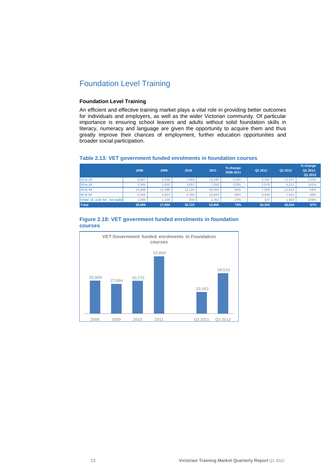# <span id="page-22-0"></span>Foundation Level Training

# **Foundation Level Training**

An efficient and effective training market plays a vital role in providing better outcomes for individuals and employers, as well as the wider Victorian community. Of particular importance is ensuring school leavers and adults without solid foundation skills in literacy, numeracy and language are given the opportunity to acquire them and thus greatly improve their chances of employment, further education opportunities and broader social participation.

# **Table 2.13: VET government funded enrolments in foundation courses**

|                               | 2008   | 2009   | 2010   | 2011   | % change<br>2008-2011 | Q1 2011 | Q1 2012 | % change<br>Q1 2011-<br>Q1 2012 |
|-------------------------------|--------|--------|--------|--------|-----------------------|---------|---------|---------------------------------|
| 15 to 19                      | 6.687  | 6.458  | 7.864  | 14.190 | 112%                  | 5.192   | 11.147  | 115%                            |
| 20 to 24                      | 3.344  | 2.920  | 3.651  | 7.416  | 122%                  | 2.576   | 6.211   | 141%                            |
| 25 to 44                      | 13.386 | 11.488 | 12.124 | 20.054 | 50%                   | 7.559   | 11.623  | 54%                             |
| 45 to 64                      | 6.426  | 5.923  | 6.250  | 10.844 | 69%                   | 4.549   | 7.632   | 68%                             |
| Under 15, over 64, not stated | 1.066  | .105   | 834    | .352   | 27%                   | 427     | .403    | 229%                            |
| Total                         | 30.909 | 27,894 | 30.723 | 53,856 | 74%                   | 20.303  | 38,016  | 87%                             |



#### **Figure 2.18: VET government funded enrolments in foundation courses**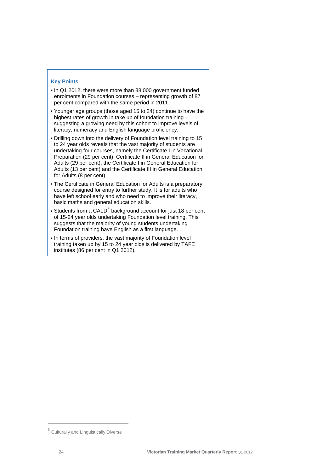# <span id="page-23-0"></span>**Key Points**

- In Q1 2012, there were more than 38,000 government funded enrolments in Foundation courses – representing growth of 87 per cent compared with the same period in 2011.
- Younger age groups (those aged 15 to 24) continue to have the highest rates of growth in take up of foundation training – suggesting a growing need by this cohort to improve levels of literacy, numeracy and English language proficiency.
- Drilling down into the delivery of Foundation level training to 15 to 24 year olds reveals that the vast majority of students are undertaking four courses, namely the Certificate I in Vocational Preparation (29 per cent), Certificate II in General Education for Adults (29 per cent), the Certificate I in General Education for Adults (13 per cent) and the Certificate III in General Education for Adults (8 per cent).
- The Certificate in General Education for Adults is a preparatory course designed for entry to further study. It is for adults who have left school early and who need to improve their literacy, basic maths and general education skills.
- Students from a CALD<sup>[5](#page-23-0)</sup> background account for just 18 per cent of 15-24 year olds undertaking Foundation level training. This suggests that the majority of young students undertaking Foundation training have English as a first language.
- In terms of providers, the vast majority of Foundation level training taken up by 15 to 24 year olds is delivered by TAFE institutes (86 per cent in Q1 2012).

 $\overline{a}$ 

<sup>5</sup> Culturally and Linguistically Diverse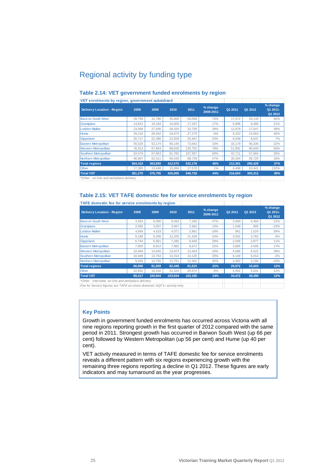# <span id="page-24-0"></span>Regional activity by funding type

| VET enrolments by region, government subsidised |         |         |         |         |                       |         |         |                                 |
|-------------------------------------------------|---------|---------|---------|---------|-----------------------|---------|---------|---------------------------------|
| <b>Delivery Location - Region</b>               | 2008    | 2009    | 2010    | 2011    | % change<br>2008-2011 | Q1 2011 | Q1 2012 | % change<br>Q1 2011-<br>Q1 2012 |
| <b>Barw on South West</b>                       | 28,758  | 31,786  | 35,800  | 50.058  | 74%                   | 17.572  | 29,135  | 66%                             |
| Grampians                                       | 14.631  | 16.194  | 15.005  | 17.187  | 17%                   | 6.996   | 8.495   | 21%                             |
| <b>Loddon Mallee</b>                            | 23,568  | 27,936  | 28,320  | 32.758  | 39%                   | 12.678  | 17.547  | 38%                             |
| <b>Hume</b>                                     | 29,132  | 26.042  | 24,673  | 27.270  | $-6%$                 | 9,322   | 13.063  | 40%                             |
| Gippsland                                       | 26.717  | 22,386  | 22,509  | 20.467  | $-23%$                | 8,048   | 8.637   | 7%                              |
| <b>Eastern Metropolitan</b>                     | 55,525  | 52.174  | 60.140  | 73,642  | 33%                   | 33,179  | 40.336  | 22%                             |
| <b>Western Metropolitan</b>                     | 76,313  | 67,854  | 88.628  | 135.755 | 78%                   | 51,801  | 80.649  | 56%                             |
| Southern Metropolitan                           | 63,579  | 67,663  | 81,765  | 107,597 | 69%                   | 42,711  | 57,664  | 35%                             |
| Northern Metropolitan                           | 46.907  | 52,411  | 56,429  | 68,739  | 47%                   | 30,264  | 35,725  | 18%                             |
| <b>Total regions</b>                            | 364.410 | 363,850 | 412,570 | 532,178 | 46%                   | 212,361 | 290,429 | 37%                             |
| Other                                           | 17,365  | 13,448  | 15,084  | 17,570  | 1%                    | 4,499   | 10.441  | 132%                            |
| <b>Total VET</b>                                | 381,270 | 376,795 | 426,905 | 548,728 | 44%                   | 216,654 | 300,312 | 39%                             |
| *Other - on-line and workplace delivery         |         |         |         |         |                       |         |         |                                 |

# **Table 2.14: VET government funded enrolments by region**

**Table 2.15: VET TAFE domestic fee for service enrolments by region** 

| TAFE domestic fee for service enrolments by region  |        |         |         |         |                       |         |         |                                 |
|-----------------------------------------------------|--------|---------|---------|---------|-----------------------|---------|---------|---------------------------------|
| <b>Delivery Location - Region</b>                   | 2008   | 2009    | 2010    | 2011    | % change<br>2008-2011 | Q1 2011 | Q1 2012 | % change<br>Q1 2011-<br>Q1 2012 |
| <b>Barw on South West</b>                           | 4,943  | 6,090   | 6,093   | 7,265   | 47%                   | 3,669   | 4.484   | 22%                             |
| Grampians                                           | 2,585  | 3,057   | 3,067   | 2,962   | 15%                   | 1.048   | 805     | $-23%$                          |
| <b>Loddon Mallee</b>                                | 4.849  | 4.619   | 4.071   | 3.961   | $-18%$                | 961     | 1.524   | 59%                             |
| <b>Hume</b>                                         | 9,189  | 9,296   | 12,205  | 11,428  | 24%                   | 3,561   | 3,762   | 6%                              |
| Gippsland                                           | 6.744  | 6,901   | 7.280   | 8,646   | 28%                   | 2,599   | 2,877   | 11%                             |
| Eastern Metropolitan                                | 7,855  | 8,914   | 7,982   | 8,672   | 10%                   | 3,865   | 4,505   | 17%                             |
| <b>Western Metropolitan</b>                         | 10.494 | 14.645  | 13,973  | 12,463  | 19%                   | 4.686   | 6,522   | 39%                             |
| Southern Metropolitan                               | 10.949 | 13.763  | 14.314  | 14,125  | 29%                   | 6.149   | 6.014   | $-2%$                           |
| Northern Metropolitan                               | 9.450  | 14,756  | 13,761  | 12,302  | 30%                   | 3,492   | 3,156   | $-10%$                          |
| <b>Total regions</b>                                | 66,890 | 81,659  | 82,448  | 81,623  | 22%                   | 29,972  | 33,603  | 12%                             |
| Other                                               | 22.691 | 19,316  | 21,324  | 20,674  | $-9%$                 | 4,502   | 5,031   | 12%                             |
| <b>Total VET</b>                                    | 89,417 | 100.844 | 103.664 | 102,185 | 14%                   | 34,472  | 38,490  | 12%                             |
| *Other - interstate, on-line and workplace delivery |        |         |         |         |                       |         |         |                                 |

*Fee for Service figures are TAFE on-shore domestic AQF1+ activity only.*

# **Key Points**

Growth in government funded enrolments has occurred across Victoria with all nine regions reporting growth in the first quarter of 2012 compared with the same period in 2011. Strongest growth has occurred in Barwon South West (up 66 per cent) followed by Western Metropolitan (up 56 per cent) and Hume (up 40 per cent).

VET activity measured in terms of TAFE domestic fee for service enrolments reveals a different pattern with six regions experiencing growth with the remaining three regions reporting a decline in Q1 2012. These figures are early indicators and may turnaround as the year progresses.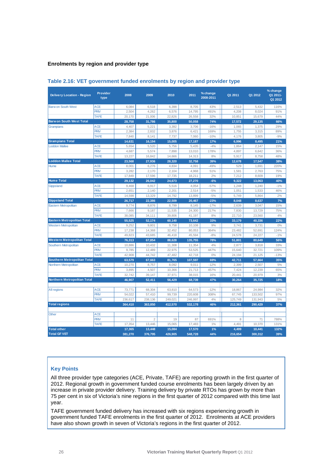# **Enrolments by region and provider type**

| <b>Delivery Location - Region</b>  | <b>Provider</b><br>type | 2008    | 2009           | 2010    | 2011    | % change<br>2008-2011 | Q1 2011 | Q1 2012 | % change<br>Q1 2011-<br>Q1 2012 |
|------------------------------------|-------------------------|---------|----------------|---------|---------|-----------------------|---------|---------|---------------------------------|
| <b>Barw on South West</b>          | <b>ACE</b>              | 6,084   | 6,518          | 6,398   | 8,705   | 43%                   | 2,513   | 5,432   | 116%                            |
|                                    | <b>PRIV</b>             | 2.504   | 4.262          | 6,576   | 14,795  | 491%                  | 4.208   | 8.024   | 91%                             |
|                                    | <b>TAFE</b>             | 20.170  | 21,006         | 22.826  | 26,558  | 32%                   | 10,851  | 15,679  | 44%                             |
| <b>Barwon South West Total</b>     |                         | 28,758  | 31,786         | 35,800  | 50,058  | 74%                   | 17,572  | 29,135  | 66%                             |
| Grampians                          | <b>ACE</b>              | 4,407   | 5,221          | 3,392   | 3,706   | $-16%$                | 1,065   | 1,375   | 29%                             |
|                                    | <b>PRIV</b>             | 2,384   | 2,832          | 3,876   | 6,421   | 169%                  | 1,755   | 3,315   | 89%                             |
|                                    | <b>TAFE</b>             | 7.840   | 8.141          | 7,737   | 7,060   | $-10%$                | 4,176   | 3.805   | $-9%$                           |
| <b>Grampians Total</b>             |                         | 14,631  | 16,194         | 15,005  | 17,187  | 17%                   | 6,996   | 8.495   | 21%                             |
| <b>Loddon Mallee</b>               | <b>ACE</b>              | 5.654   | 5,520          | 5,756   | 5,435   | $-4%$                 | 1,864   | 2,147   | 15%                             |
|                                    | <b>PRIV</b>             | 4.687   | 5,574          | 7.898   | 13,010  | 178%                  | 4,897   | 6.642   | 36%                             |
|                                    | <b>TAFE</b>             | 13.227  | 16.842         | 14.666  | 14.313  | 8%                    | 5.917   | 8.758   | 48%                             |
| <b>Loddon Mallee Total</b>         |                         | 23.568  | 27,936         | 28,320  | 32,758  | 39%                   | 12,678  | 17,547  | 38%                             |
| Hume                               | <b>ACE</b>              | 8,001   | 6,276          | 4,834   | 4,091   | $-49%$                | 529     | 1,691   | 220%                            |
|                                    | <b>PRIV</b>             | 3,282   | 2,170          | 2,104   | 4,968   | 51%                   | 1,581   | 2,763   | 75%                             |
|                                    | <b>TAFE</b>             | 17,849  | 17,596         | 17,735  | 18,211  | 2%                    | 7,212   | 8,609   | 19%                             |
| <b>Hume Total</b>                  |                         | 29.132  | 26,042         | 24,673  | 27,270  | $-6%$                 | 9.322   | 13,063  | 40%                             |
| Gippsland                          | <b>ACE</b>              | 9,468   | 6,917          | 5,516   | 4,054   | $-57%$                | 1,248   | 1,240   | $-1%$                           |
|                                    | <b>PRIV</b>             | 2,651   | 2,140          | 2,201   | 2,514   | $-5%$                 | 1,051   | 1,533   | 46%                             |
|                                    | <b>TAFE</b>             | 14,598  | 13,329         | 14,792  | 13,899  | $-5%$                 | 5,749   | 5,864   | 2%                              |
| <b>Gippsland Total</b>             |                         | 26,717  | 22,386         | 22.509  | 20.467  | $-23%$                | 8,048   | 8.637   | 7%                              |
| <b>Eastern Metropolitan</b>        | <b>ACE</b>              | 9,774   | 8,876          | 8,799   | 8,145   | $-17%$                | 2,639   | 3,047   | 15%                             |
|                                    | <b>PRIV</b>             | 7.666   | 9.187          | 11,535  | 24.300  | 217%                  | 7.830   | 13.729  | 75%                             |
|                                    | <b>TAFE</b>             | 38,085  | 34,111         | 39.806  | 41,197  | 8%                    | 22,710  | 23,560  | 4%                              |
| <b>Eastern Metropolitan Total</b>  |                         | 55,525  | 52,174         | 60,140  | 73,642  | 33%                   | 33,179  | 40,336  | 22%                             |
| <b>Western Metropolitan</b>        | <b>ACE</b>              | 9.252   | 9.801          | 9.758   | 10.108  | 9%                    | 3,741   | 3.731   | 0%                              |
|                                    | <b>PRIV</b>             | 17.238  | 14.368         | 32.452  | 80.053  | 364%                  | 23.482  | 52.691  | 124%                            |
|                                    | <b>TAFE</b>             | 49,823  | 43,685         | 46,418  | 45,594  | $-8%$                 | 24,578  | 24,227  | $-1%$                           |
| <b>Western Metropolitan Total</b>  |                         | 76,313  | 67,854         | 88,628  | 135,755 | 78%                   | 51,801  | 80,649  | 56%                             |
| Southern Metropolitan              | <b>ACE</b>              | 10,886  | 10,432         | 11,308  | 11,354  | 4%                    | 2,877   | 3,818   | 33%                             |
|                                    | <b>PRIV</b>             | 9,785   | 12,489         | 22,975  | 53,525  | 447%                  | 15,640  | 32,721  | 109%                            |
|                                    | <b>TAFE</b>             | 42,908  | 44,742         | 47,482  | 42,718  | 0%                    | 24,194  | 21,125  | $-13%$                          |
| <b>Southern Metropolitan Total</b> |                         | 63,579  | 67,663         | 81,765  | 107,597 | 69%                   | 42,711  | 57,664  | 35%                             |
| Northern Metropolitan              | <b>ACE</b>              | 10,270  | 8,757          | 8,092   | 9,011   | $-12%$                | 2,399   | 2,507   | 5%                              |
|                                    | <b>PRIV</b>             | 3.895   | 4.507          | 10.366  | 21.713  | 457%                  | 7.424   | 12.239  | 65%                             |
|                                    | <b>TAFE</b>             | 32.742  | 39.147         | 37.971  | 38.015  | 16%                   | 20.441  | 20.979  | 3%                              |
| <b>Northern Metropolitan Total</b> |                         | 46,907  | 52,411         | 56,429  | 68,739  | 47%                   | 30,264  | 35,725  | 18%                             |
|                                    |                         |         |                |         |         |                       |         |         |                                 |
| All regions                        | <b>ACE</b>              | 73,771  | 68,304         | 63,810  | 64,573  | $-12%$                | 18,867  | 24,984  | 32%                             |
|                                    | <b>PRIV</b>             | 54.022  | 57,410         | 99,739  | 220,608 | 308%                  | 67.745  | 133.502 | 97%                             |
|                                    | <b>TAFE</b>             | 236,617 | 238,136        | 249.021 | 246.997 | 4%                    | 125,749 | 131,943 | 5%                              |
| <b>Total regions</b>               |                         | 364,410 | 363,850        | 412,570 | 532,178 | 46%                   | 212,361 | 290,429 | 37%                             |
| Other                              | <b>ACE</b>              |         |                |         |         |                       |         |         |                                 |
|                                    | <b>PRIV</b>             | 11      | $\overline{2}$ | 19      | 87      | 691%                  | 8       | 71      | 788%                            |
|                                    | <b>TAFE</b>             | 17,354  | 13,446         | 15,065  | 17,483  | 1%                    | 4,491   | 10,370  | 131%                            |
| <b>Total other</b>                 |                         | 17,365  | 13,448         | 15,084  | 17,570  | 1%                    | 4,499   | 10,441  | 132%                            |
| <b>Total GF VET</b>                |                         | 381,270 | 376,795        | 426,905 | 548,728 | 44%                   | 216,654 | 300,312 | 39%                             |

### **Table 2.16: VET government funded enrolments by region and provider type**

# **Key Points**

All three provider type categories (ACE, Private, TAFE) are reporting growth in the first quarter of 2012. Regional growth in government funded course enrolments has been largely driven by an increase in private provider delivery. Training delivery by private RTOs has grown by more than 75 per cent in six of Victoria's nine regions in the first quarter of 2012 compared with this time last year.

TAFE government funded delivery has increased with six regions experiencing growth in government funded TAFE enrolments in the first quarter of 2012. Enrolments at ACE providers have also shown growth in seven of Victoria's regions in the first quarter of 2012.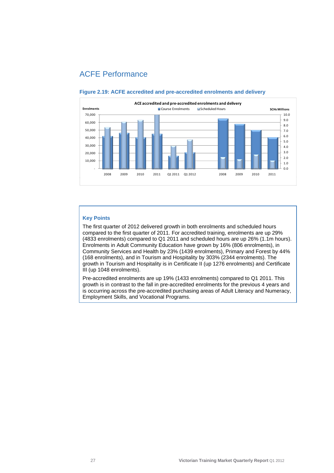# <span id="page-26-0"></span>ACFE Performance



#### **Figure 2.19: ACFE accredited and pre-accredited enrolments and delivery**

# **Key Points**

The first quarter of 2012 delivered growth in both enrolments and scheduled hours compared to the first quarter of 2011. For accredited training, enrolments are up 29% (4833 enrolments) compared to Q1 2011 and scheduled hours are up 26% (1.1m hours). Enrolments in Adult Community Education have grown by 16% (806 enrolments), in Community Services and Health by 23% (1439 enrolments), Primary and Forest by 44% (168 enrolments), and in Tourism and Hospitality by 303% (2344 enrolments). The growth in Tourism and Hospitality is in Certificate II (up 1276 enrolments) and Certificate III (up 1048 enrolments).

Pre-accredited enrolments are up 19% (1433 enrolments) compared to Q1 2011. This growth is in contrast to the fall in pre-accredited enrolments for the previous 4 years and is occurring across the pre-accredited purchasing areas of Adult Literacy and Numeracy, Employment Skills, and Vocational Programs.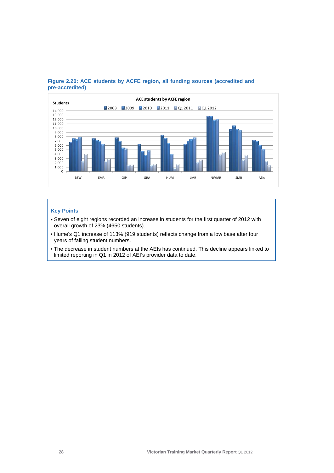

# **Figure 2.20: ACE students by ACFE region, all funding sources (accredited and pre-accredited)**

# **Key Points**

- Seven of eight regions recorded an increase in students for the first quarter of 2012 with overall growth of 23% (4650 students).
- Hume's Q1 increase of 113% (919 students) reflects change from a low base after four years of falling student numbers.
- The decrease in student numbers at the AEIs has continued. This decline appears linked to limited reporting in Q1 in 2012 of AEI's provider data to date.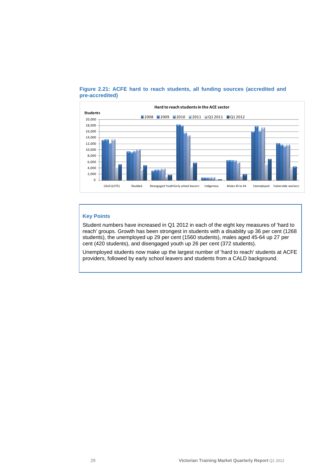

# **Figure 2.21: ACFE hard to reach students, all funding sources (accredited and pre-accredited)**

# **Key Points**

Student numbers have increased in Q1 2012 in each of the eight key measures of 'hard to reach' groups. Growth has been strongest in students with a disability up 36 per cent (1268 students), the unemployed up 29 per cent (1560 students), males aged 45-64 up 27 per cent (420 students), and disengaged youth up 26 per cent (372 students).

Unemployed students now make up the largest number of 'hard to reach' students at ACFE providers, followed by early school leavers and students from a CALD background.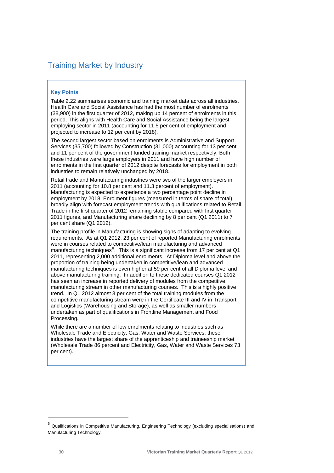# <span id="page-29-0"></span>Training Market by Industry

### **Key Points**

Table 2.22 summarises economic and training market data across all industries. Health Care and Social Assistance has had the most number of enrolments (38,900) in the first quarter of 2012, making up 14 percent of enrolments in this period. This aligns with Health Care and Social Assistance being the largest employing sector in 2011 (accounting for 11.5 per cent of employment and projected to increase to 12 per cent by 2018).

The second largest sector based on enrolments is Administrative and Support Services (35,700) followed by Construction (31,000) accounting for 13 per cent and 11 per cent of the government funded training market respectively. Both these industries were large employers in 2011 and have high number of enrolments in the first quarter of 2012 despite forecasts for employment in both industries to remain relatively unchanged by 2018.

Retail trade and Manufacturing industries were two of the larger employers in 2011 (accounting for 10.8 per cent and 11.3 percent of employment). Manufacturing is expected to experience a two percentage point decline in employment by 2018. Enrolment figures (measured in terms of share of total) broadly align with forecast employment trends with qualifications related to Retail Trade in the first quarter of 2012 remaining stable compared with first quarter 2011 figures, and Manufacturing share declining by 8 per cent (Q1 2011) to 7 per cent share (Q1 2012).

The training profile in Manufacturing is showing signs of adapting to evolving requirements. As at Q1 2012, 23 per cent of reported Manufacturing enrolments were in courses related to competitive/lean manufacturing and advanced manufacturing techniques<sup>[6](#page-29-0)</sup>. This is a significant increase from 17 per cent at Q1 2011, representing 2,000 additional enrolments. At Diploma level and above the proportion of training being undertaken in competitive/lean and advanced manufacturing techniques is even higher at 59 per cent of all Diploma level and above manufacturing training. In addition to these dedicated courses Q1 2012 has seen an increase in reported delivery of modules from the competitive manufacturing stream in other manufacturing courses. This is a highly positive trend. In Q1 2012 almost 3 per cent of the total training modules from the competitive manufacturing stream were in the Certificate III and IV in Transport and Logistics (Warehousing and Storage), as well as smaller numbers undertaken as part of qualifications in Frontline Management and Food Processing.

While there are a number of low enrolments relating to industries such as Wholesale Trade and Electricity, Gas, Water and Waste Services, these industries have the largest share of the apprenticeship and traineeship market (Wholesale Trade 86 percent and Electricity, Gas, Water and Waste Services 73 per cent).

 $\overline{a}$ 

<sup>6</sup> Qualifications in Competitive Manufacturing, Engineering Technology (excluding specialisations) and Manufacturing Technology.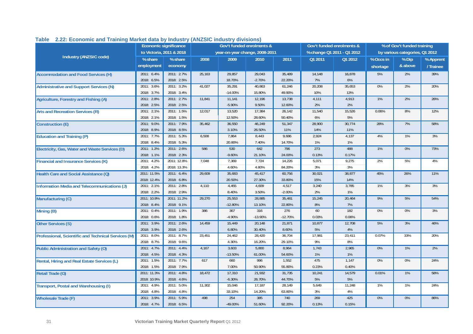|                                                     | Economic significance |                          | Gov't funded enrolments & |                                |           |           | Gov't funded enrolments & |                            | % of Gov't funded training |                                |           |
|-----------------------------------------------------|-----------------------|--------------------------|---------------------------|--------------------------------|-----------|-----------|---------------------------|----------------------------|----------------------------|--------------------------------|-----------|
|                                                     |                       | to Victoria, 2011 & 2018 |                           | year-on-year change, 2008-2011 |           |           |                           | % change Q1 2011 - Q1 2012 |                            | by various categories, Q1 2012 |           |
| Industry (ANZSIC code)                              | % share               | % share                  | 2008                      | 2009                           | 2010      | 2011      | Q1 2011                   | Q1 2012                    | % Occs in                  | % Dip                          | % Apprent |
|                                                     | employment            | economy                  |                           |                                |           |           |                           |                            | shortage                   | & above                        | / Trainee |
| <b>Accommodation and Food Services (H)</b>          | 2011: 6.4%            | 2011: 2.7%               | 25.163                    | 29,857                         | 29,043    | 35,489    | 14,148                    | 16,878                     | 5%                         | 2%                             | 39%       |
|                                                     | 2018: 6.5%            | 2018: 2.5%               |                           | 18.70%                         | $-2.70%$  | 22.20%    | 7%                        | $6\%$                      |                            |                                |           |
| <b>Administrative and Support Services (N)</b>      | 2011: 3.6%            | 2011: 3.2%               | 41,027                    | 35,291                         | 40,863    | 61,246    | 20,208                    | 35,653                     | $0\%$                      | 2%                             | 20%       |
|                                                     | 2018: 3.7%            | 2018: 3.4%               |                           | $-14.00%$                      | 15.80%    | 49.90%    | 10%                       | 13%                        |                            |                                |           |
| <b>Agriculture, Forestry and Fishing (A)</b>        | 2011: 2.8%            | 2011: 2.7%               | 11,841                    | 11,141                         | 12,196    | 13,738    | 4,111                     | 4,913                      | 1%                         | 2%                             | 26%       |
|                                                     | 2018: 2.5%            | 2018: 2.5%               |                           | $-5.90%$                       | 9.50%     | 12.60%    | 2%                        | 2%                         |                            |                                |           |
| <b>Arts and Recreation Services (R)</b>             | 2011: 2.1%            | 2011: 1.5%               | 12,017                    | 13,520                         | 17,384    | 26,142    | 11,540                    | 15,526                     | 0.06%                      | 8%                             | 12%       |
|                                                     | 2018: 2.1%            | 2018: 1.5%               |                           | 12.50%                         | 28.60%    | 50.40%    | $6\%$                     | 5%                         |                            |                                |           |
| <b>Construction (E)</b>                             | 2011: 9.0%            | 2011: 7.9%               | 35,462                    | 36,550                         | 46,249    | 51,347    | 28,900                    | 30,774                     | 28%                        | 7%                             | 58%       |
|                                                     | 2018: 8.9%            | 2018: 8.5%               |                           | 3.10%                          | 26.50%    | 11%       | 14%                       | 11%                        |                            |                                |           |
| <b>Education and Training (P)</b>                   | 2011: 7.7%            | 2011: 5.3%               | 6,508                     | 7,864                          | 8,443     | 9,686     | 2,924                     | 4,137                      | 4%                         | $1\%$                          | 3%        |
|                                                     | 2018: 8.4%            | 2018: 5.3%               |                           | 20.80%                         | 7.40%     | 14.70%    | 1%                        | 1%                         |                            |                                |           |
| Electricity, Gas, Water and Waste Services (D)      | 2011: 1.2%            | 2011: 2.6%               | 586                       | 530                            | 642       | 796       | 273                       | 488                        | $1\%$                      | $0\%$                          | 73%       |
|                                                     | 2018: 1.1%            | 2018: 2.3%               |                           | $-9.60%$                       | 21.10%    | 24.00%    | 0.13%                     | 0.17%                      |                            |                                |           |
| <b>Financial and Insurance Services (K)</b>         | 2011: 4.2%            | 2011: 12.8%              | 7,048                     | 7,369                          | 7,724     | 14,226    | 5,071                     | 9,275                      | 2%                         | 5%                             | 4%        |
|                                                     | 2018: 4.2%            | 2018: 13.3%              |                           | 4.60%                          | 4.80%     | 84.20%    | 3%                        | 3%                         |                            |                                |           |
| Health Care and Social Assistance (Q)               | 2011: 11.5%           | 2011: 6.4%               | 29,609                    | 35,683                         | 45,417    | 60,756    | 30,021                    | 38,877                     | 45%                        | 26%                            | 11%       |
|                                                     | 2018: 12.4%           | 2018: 6.8%               |                           | 20.50%                         | 27.30%    | 33.80%    | 15%                       | 14%                        |                            |                                |           |
| <b>Information Media and Telecommunications (J)</b> | 2011: 2.1%            | 2011: 2.8%               | 4,110                     | 4,455                          | 4,609     | 4,517     | 3,240                     | 3,785                      | 1%                         | 3%                             | 3%        |
|                                                     | 2018: 2.2%            | 2018: 2.9%               |                           | 8.40%                          | 3.50%     | $-2.00%$  | 2%                        | 1%                         |                            |                                |           |
| Manufacturing (C)                                   | 2011: 10.8%           | 2011: 11.2%              | 29,270                    | 25,553                         | 28,885    | 35,481    | 15,245                    | 20,464                     | 9%                         | 5%                             | 54%       |
|                                                     | 2018: 8.4%            | 2018: 9.1%               |                           | $-12.80%$                      | 13.10%    | 22.80%    | 8%                        | 7%                         |                            |                                |           |
| Mining (B)                                          | 2011: 0.4%            | 2011: 1.9%               | 386                       | 367                            | 316       | 276       | 60                        | 182                        | $0\%$                      | $0\%$                          | 3%        |
|                                                     | 2018: 0.6%            | 2018: 1.8%               |                           | $-4.90%$                       | $-13.90%$ | $-12.70%$ | 0.03%                     | 0.06%                      |                            |                                |           |
| Other Services (S)                                  | 2011: 3.9%            | 2011: 2.6%               | 14,459                    | 15,449                         | 20,148    | 21,871    | 10,877                    | 12,708                     | 5%                         | 3%                             | 46%       |
|                                                     | 2018: 3.9%            | 2018: 2.6%               |                           | 6.80%                          | 30.40%    | 8.60%     | 5%                        | 4%                         |                            |                                |           |
| Professional, Scientific and Technical Services (M) | 2011: 8.0%            | 2011: 8.7%               | 23,451                    | 24,462                         | 28,420    | 36,704    | 17,981                    | 23,411                     | 0.07%                      | 33%                            | 20%       |
|                                                     | 2018: 8.7%            | 2018: 9.6%               |                           | 4.30%                          | 16.20%    | 29.10%    | 9%                        | 8%                         |                            |                                |           |
| Public Administration and Safety (O)                | 2011: 4.7%            | 2011: 4.4%               | 4,167                     | 3,603                          | 5,800     | 8,964     | 1,743                     | 2,965                      | 0%                         | 1%                             | 2%        |
|                                                     | 2018: 4.5%            | 2018: 4.3%               |                           | $-13.50%$                      | 61.00%    | 54.60%    | 1%                        | 1%                         |                            |                                |           |
| Rental, Hiring and Real Estate Services (L)         | 2011: 1.5%            | 2011: 7.7%               | 617                       | 660                            | 996       | 1,552     | 475                       | 1,147                      | $0\%$                      | 0%                             | 24%       |
|                                                     | 2018: 1.5%            | 2018: 7.9%               |                           | 7.00%                          | 50.90%    | 55.80%    | 0.23%                     | 0.40%                      |                            |                                |           |
| <b>Retail Trade (G)</b>                             | 2011: 11.3%           | 2011: 4.8%               | 18,472                    | 17,310                         | 21,932    | 31,735    | 10,241                    | 14,579                     | 0.01%                      | 1%                             | 58%       |
|                                                     | 2018: 10.9%           | 2018: 4.6%               |                           | $-6.30%$                       | 26.70%    | 44.70%    | 5%                        | 5%                         |                            |                                |           |
| Transport, Postal and Warehousing (I)               | 2011: 4.9%            | 2011: 5.0%               | 11,302                    | 15,046                         | 17,187    | 28,149    | 5,649                     | 11,248                     | 1%                         | 1%                             | 24%       |
|                                                     | 2018: 4.8%            | 2018: 4.8%               |                           | 33.10%                         | 14.20%    | 63.80%    | 3%                        | 4%                         |                            |                                |           |
| <b>Wholesale Trade (F)</b>                          | 2011: 3.9%            | 2011: 5.9%               | 498                       | 254                            | 385       | 740       | 269                       | 425                        | 0%                         | 0%                             | 86%       |
|                                                     | 2018: 4.7%            | 2018: 6.5%               |                           | $-49.00%$                      | 51.60%    | 92.20%    | 0.13%                     | 0.15%                      |                            |                                |           |

# **Table 2.22: Economic and Training Market data by Industry (ANZSIC industry divisions)**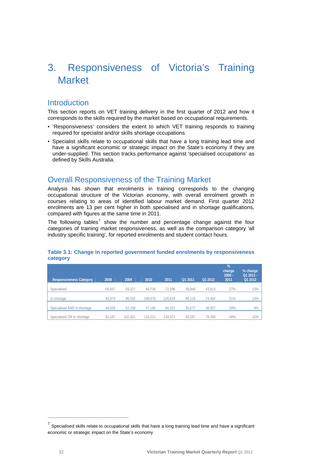# <span id="page-31-0"></span>3. Responsiveness of Victoria's Training **Market**

# **Introduction**

This section reports on VET training delivery in the first quarter of 2012 and how it corresponds to the skills required by the market based on occupational requirements.

- 'Responsiveness' considers the extent to which VET training responds to training required for specialist and/or skills shortage occupations.
- Specialist skills relate to occupational skills that have a long training lead time and have a significant economic or strategic impact on the State's economy if they are under-supplied. This section tracks performance against 'specialised occupations' as defined by Skills Australia.

# Overall Responsiveness of the Training Market

Analysis has shown that enrolments in training corresponds to the changing occupational structure of the Victorian economy, with overall enrolment growth in courses relating to areas of identified labour market demand. First quarter 2012 enrolments are 13 per cent higher in both specialised and in shortage qualifications, compared with figures at the same time in 2011.

The following tables<sup>[7](#page-31-0)</sup> show the number and percentage change against the four categories of training market responsiveness, as well as the comparison category 'all industry specific training', for reported enrolments and student contact hours.

| <b>Responsiveness Category</b> | 2008   | 2009    | 2010    | 2011    | Q1 2011 | Q1 2012 | %<br>change,<br>$2008 -$<br>2011 | % change<br>Q1 2011 -<br>Q1 2012 |
|--------------------------------|--------|---------|---------|---------|---------|---------|----------------------------------|----------------------------------|
| Specialised                    | 56.837 | 59,027  | 64.736  | 72,196  | 38,848  | 43,813  | 27%                              | 13%                              |
| In shortage                    | 83.979 | 95,552  | 108.670 | 126.629 | 66.116  | 74,492  | 51%                              | 13%                              |
| Specialised AND In shortage    | 49,629 | 52,258  | 57.185  | 64,252  | 35,677  | 38,937  | 29%                              | 9%                               |
| Specialised OR In shortage     | 91.187 | 102.321 | 116.221 | 134.573 | 69.287  | 79.368  | 48%                              | 15%                              |

# **Table 3.1: Change in reported government funded enrolments by responsiveness category**

 $\overline{a}$ 

 $<sup>7</sup>$  Specialised skills relate to occupational skills that have a long training lead time and have a significant</sup> economic or strategic impact on the State's economy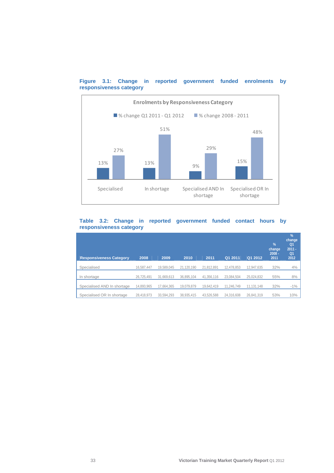

# **Figure 3.1: Change in reported government funded enrolments by responsiveness category**

# **Table 3.2: Change in reported government funded contact hours by responsiveness category**

| <b>Responsiveness Category</b> | 2008       | 2009       | 2010       | 2011       | Q1 2011    | Q1 2012    | $\frac{9}{6}$<br>change<br>$2008 -$<br>2011 | %<br>change<br>Q <sub>1</sub><br>$2011 -$<br>Q <sub>1</sub><br>2012 |
|--------------------------------|------------|------------|------------|------------|------------|------------|---------------------------------------------|---------------------------------------------------------------------|
| Specialised                    | 16,587,447 | 19,589,045 | 21,120,190 | 21,812,891 | 12,478,853 | 12.947.635 | 32%                                         | 4%                                                                  |
| In shortage                    | 26,725,491 | 31.669.613 | 36.895.104 | 41.356.116 | 23.084.504 | 25.024.832 | 55%                                         | 8%                                                                  |
| Specialised AND In shortage    | 14,893,965 | 17.664.365 | 19.079.879 | 19,642,419 | 11,246,749 | 11.131.148 | 32%                                         | $-1%$                                                               |
| Specialised OR In shortage     | 28.418.973 | 33.594.293 | 38.935.415 | 43.526.588 | 24.316.608 | 26.841.319 | 53%                                         | 10%                                                                 |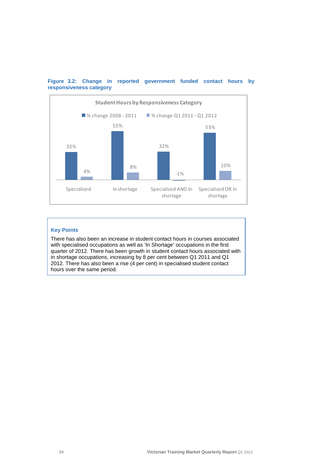

# **Figure 3.2: Change in reported government funded contact hours by responsiveness category**

# **Key Points**

There has also been an increase in student contact hours in courses associated with specialised occupations as well as 'In Shortage' occupations in the first quarter of 2012. There has been growth in student contact hours associated with in shortage occupations, increasing by 8 per cent between Q1 2011 and Q1 2012. There has also been a rise (4 per cent) in specialised student contact hours over the same period.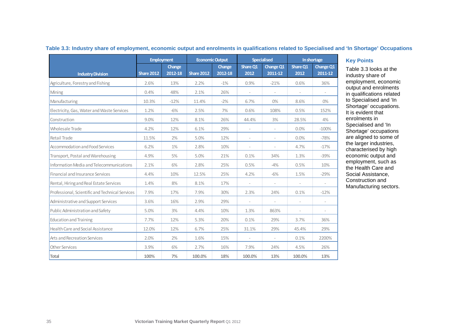|                                                 | <b>Employment</b> |                   |                   | <b>Economic Output</b> |                          | <b>Specialised</b>          | In shortage              |                             |
|-------------------------------------------------|-------------------|-------------------|-------------------|------------------------|--------------------------|-----------------------------|--------------------------|-----------------------------|
| <b>Industry Division</b>                        | <b>Share 2012</b> | Change<br>2012-18 | <b>Share 2012</b> | Change<br>2012-18      | Share Q1<br>2012         | <b>Change Q1</b><br>2011-12 | Share Q1<br>2012         | <b>Change Q1</b><br>2011-12 |
| Agriculture, Forestry and Fishing               | 2.6%              | 13%               | 2.2%              | $-1\%$                 | 0.9%                     | $-21%$                      | 0.6%                     | 36%                         |
| Mining                                          | 0.4%              | 48%               | 2.1%              | 26%                    | ÷,                       |                             |                          |                             |
| Manufacturing                                   | 10.3%             | $-12%$            | 11.4%             | $-2%$                  | 6.7%                     | $0\%$                       | 8.6%                     | $0\%$                       |
| Electricity, Gas, Water and Waste Services      | 1.2%              | $-6%$             | 2.5%              | 7%                     | 0.6%                     | 108%                        | 0.5%                     | 152%                        |
| Construction                                    | 9.0%              | 12%               | 8.1%              | 26%                    | 44.4%                    | 3%                          | 28.5%                    | 4%                          |
| <b>Wholesale Trade</b>                          | 4.2%              | 12%               | 6.1%              | 29%                    |                          |                             | 0.0%                     | $-100%$                     |
| Retail Trade                                    | 11.5%             | 2%                | 5.0%              | 12%                    | $\overline{\phantom{a}}$ | $\overline{\phantom{a}}$    | 0.0%                     | $-78%$                      |
| <b>Accommodation and Food Services</b>          | 6.2%              | 1%                | 2.8%              | 10%                    | $\sim$                   | ×.                          | 4.7%                     | $-17%$                      |
| Transport, Postal and Warehousing               | 4.9%              | 5%                | 5.0%              | 21%                    | 0.1%                     | 34%                         | 1.3%                     | $-39%$                      |
| Information Media and Telecommunications        | 2.1%              | 6%                | 2.8%              | 25%                    | 0.5%                     | $-4%$                       | 0.5%                     | 10%                         |
| Financial and Insurance Services                | 4.4%              | 10%               | 12.5%             | 25%                    | 4.2%                     | $-6%$                       | 1.5%                     | $-29%$                      |
| Rental, Hiring and Real Estate Services         | 1.4%              | 8%                | 8.1%              | 17%                    |                          |                             |                          |                             |
| Professional, Scientific and Technical Services | 7.9%              | 17%               | 7.9%              | 30%                    | 2.3%                     | 24%                         | 0.1%                     | $-12%$                      |
| Administrative and Support Services             | 3.6%              | 16%               | 2.9%              | 29%                    | $\sim$                   | $\overline{\phantom{a}}$    | $\overline{\phantom{a}}$ | $\overline{\phantom{a}}$    |
| Public Administration and Safety                | 5.0%              | 3%                | 4.4%              | 10%                    | 1.3%                     | 863%                        | $\sim$                   |                             |
| <b>Education and Training</b>                   | 7.7%              | 12%               | 5.3%              | 20%                    | 0.1%                     | 29%                         | 3.7%                     | 36%                         |
| Health Care and Social Assistance               | 12.0%             | 12%               | 6.7%              | 25%                    | 31.1%                    | 29%                         | 45.4%                    | 29%                         |
| Arts and Recreation Services                    | 2.0%              | 2%                | 1.6%              | 15%                    | $\sim$                   | $\sim$                      | 0.1%                     | 2200%                       |
| <b>Other Services</b>                           | 3.9%              | 6%                | 2.7%              | 16%                    | 7.9%                     | 24%                         | 4.5%                     | 26%                         |
| <b>Total</b>                                    | 100%              | 7%                | 100.0%            | 18%                    | 100.0%                   | 13%                         | 100.0%                   | 13%                         |

## **Table 3.3: Industry share of employment, economic output and enrolments in qualifications related to Specialised and 'In Shortage' Occupations**

Table 3.3 looks at the industry share of employment, economic output and enrolments in qualifications related to Specialised and 'In Shortage' occupations. It is evident that enrolments in Specialised and 'In Shortage' occupations are aligned to some of the larger industries, characterised by high economic output and employment, such as the Health Care and Social Assistance, Construction and Manufacturing sectors.

**Key Points**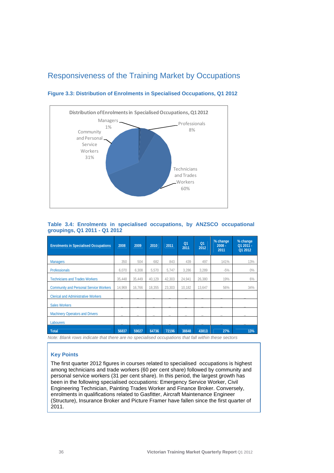# <span id="page-35-0"></span>Responsiveness of the Training Market by Occupations



**Figure 3.3: Distribution of Enrolments in Specialised Occupations, Q1 2012** 

# **Table 3.4: Enrolments in specialised occupations, by ANZSCO occupational groupings, Q1 2011 - Q1 2012**

| <b>Enrolments in Specialised Occupations</b>  | 2008   | 2009   | 2010              | 2011   | Q <sub>1</sub><br>2011 | Q <sub>1</sub><br>2012 | % change<br>$2008 -$<br>2011 | % change<br>Q1 2011 -<br>Q1 2012 |
|-----------------------------------------------|--------|--------|-------------------|--------|------------------------|------------------------|------------------------------|----------------------------------|
| <b>Managers</b>                               | 350    | 504    | 682               | 843    | 439                    | 497                    | 141%                         | 13%                              |
| <b>Professionals</b>                          | 6.070  | 6.308  | 5,570             | 5,747  | 3,286                  | 3,289                  | $-5%$                        | $0\%$                            |
| <b>Technicians and Trades Workers</b>         | 35,448 | 35,449 | 40.129            | 42.303 | 24,941                 | 26.380                 | 19%                          | 6%                               |
| <b>Community and Personal Service Workers</b> | 14,969 | 16,766 | 18,355            | 23,303 | 10,182                 | 13,647                 | 56%                          | 34%                              |
| <b>Clerical and Administrative Workers</b>    |        |        |                   |        |                        |                        |                              |                                  |
| <b>Sales Workers</b>                          |        |        |                   |        |                        |                        |                              |                                  |
| <b>Machinery Operators and Drivers</b>        |        |        |                   |        |                        |                        |                              |                                  |
| <b>Labourers</b>                              |        |        |                   |        |                        |                        |                              |                                  |
| Total                                         | 56837  | 59027  | 64736<br>$\cdots$ | 72196  | 38848                  | 43813                  | 27%                          | 13%                              |

*Note: Blank rows indicate that there are no specialised occupations that fall within these sectors* 

# **Key Points**

The first quarter 2012 figures in courses related to specialised occupations is highest among technicians and trade workers (60 per cent share) followed by community and personal service workers (31 per cent share). In this period, the largest growth has been in the following specialised occupations: Emergency Service Worker, Civil Engineering Technician, Painting Trades Worker and Finance Broker. Conversely, enrolments in qualifications related to Gasfitter, Aircraft Maintenance Engineer (Structure), Insurance Broker and Picture Framer have fallen since the first quarter of 2011.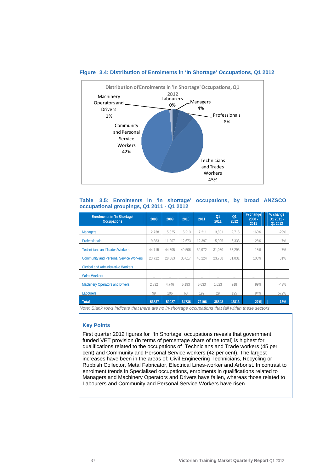

#### **Figure 3.4: Distribution of Enrolments in 'In Shortage' Occupations, Q1 2012**

# **Table 3.5: Enrolments in 'in shortage' occupations, by broad ANZSCO occupational groupings, Q1 2011 - Q1 2012**

| <b>Enrolments in 'In Shortage'</b><br><b>Occupations</b> | 2008   | 2009   | 2010   | 2011   | Q <sub>1</sub><br>2011 | O <sub>1</sub><br>2012 | % change<br>$2008 -$<br>2011 | % change<br>Q1 2011 -<br>Q1 2012 |
|----------------------------------------------------------|--------|--------|--------|--------|------------------------|------------------------|------------------------------|----------------------------------|
| <b>Managers</b>                                          | 2.738  | 5.825  | 5.213  | 7.211  | 3.801                  | 2.715                  | 163%                         | $-29%$                           |
| <b>Professionals</b>                                     | 9.883  | 11.907 | 12.673 | 12.397 | 5.925                  | 6.338                  | 25%                          | 7%                               |
| <b>Technicians and Trades Workers</b>                    | 44.715 | 44.305 | 49.506 | 52.972 | 31.030                 | 33.295                 | 18%                          | 7%                               |
| <b>Community and Personal Service Workers</b>            | 23,712 | 28.663 | 36,017 | 48,224 | 23,708                 | 31,031                 | 103%                         | 31%                              |
| <b>Clerical and Administrative Workers</b>               |        |        |        |        |                        |                        |                              |                                  |
| <b>Sales Workers</b>                                     | -      |        |        |        |                        |                        |                              |                                  |
| <b>Machinery Operators and Drivers</b>                   | 2.832  | 4,746  | 5.193  | 5,633  | 1.623                  | 918                    | 99%                          | $-43%$                           |
| <b>Labourers</b>                                         | 99     | 106    | 68     | 192    | 29                     | 195                    | 94%                          | 572%                             |
| Total                                                    | 56837  | 59027  | 64736  | 72196  | 38848                  | 43813                  | 27%                          | 13%                              |

*Note: Blank rows indicate that there are no in-shortage occupations that fall within these sectors* 

### **Key Points**

First quarter 2012 figures for 'In Shortage' occupations reveals that government funded VET provision (in terms of percentage share of the total) is highest for qualifications related to the occupations of Technicians and Trade workers (45 per cent) and Community and Personal Service workers (42 per cent). The largest increases have been in the areas of: Civil Engineering Technicians, Recycling or Rubbish Collector, Metal Fabricator, Electrical Lines-worker and Arborist. In contrast to enrolment trends in Specialised occupations, enrolments in qualifications related to Managers and Machinery Operators and Drivers have fallen, whereas those related to Labourers and Community and Personal Service Workers have risen.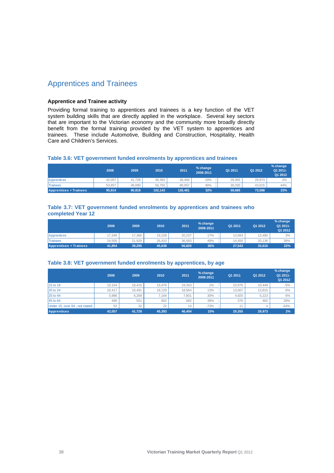# <span id="page-37-0"></span>Apprentices and Trainees

# **Apprentice and Trainee activity**

Providing formal training to apprentices and trainees is a key function of the VET system building skills that are directly applied in the workplace. Several key sectors that are important to the Victorian economy and the community more broadly directly benefit from the formal training provided by the VET system to apprentices and trainees. These include Automotive, Building and Construction, Hospitality, Health Care and Children's Services.

# **Table 3.6: VET government funded enrolments by apprentices and trainees**

|                               | 2008   | 2009   | 2010    | 2011    | % change<br>2008-2011 | Q1 2011 | Q1 2012 | % change<br>Q1 2011-<br>Q1 2012 |
|-------------------------------|--------|--------|---------|---------|-----------------------|---------|---------|---------------------------------|
| Apprentices                   | 42.057 | 41.728 | 45.393  | 46.404  | 10%                   | 29.355  | 29.973  | 2%                              |
| <b>Trainees</b>               | 53.857 | 49.090 | 56.750  | 80.057  | 49%                   | 30.330  | 43.615  | 44%                             |
| <b>Apprentices + Trainees</b> | 95.914 | 90.818 | 102.143 | 126.461 | 32%                   | 59.685  | 73.588  | 23%                             |

#### **Table 3.7: VET government funded enrolments by apprentices and trainees who completed Year 12**

|                               | 2008   | 2009   | 2010   | 2011   | % change<br>2008-2011 | Q1 2011 | Q1 2012 | % change<br>Q1 2011-<br>Q1 2012 |
|-------------------------------|--------|--------|--------|--------|-----------------------|---------|---------|---------------------------------|
| Apprentices                   | 17.349 | 7.366  | 19.228 | 20.237 | 17%                   | 13.093  | 13.480  | 3%                              |
| <b>Trainees</b>               | 24.505 | 21.929 | 26,410 | 36.583 | 49%                   | 14.450  | 20.136  | 39%                             |
| <b>Apprentices + Trainees</b> | 41.854 | 39.295 | 45.638 | 56,820 | 36%                   | 27.543  | 33.616  | 22%                             |

#### **Table 3.8: VET government funded enrolments by apprentices, by age**

|                               | 2008   | 2009   | 2010   | 2011   | % change<br>2008-2011 | Q1 2011 | Q1 2012 | % change<br>Q1 2011-<br>Q1 2012 |
|-------------------------------|--------|--------|--------|--------|-----------------------|---------|---------|---------------------------------|
| 15 to 19                      | 19.104 | 18.415 | 19.476 | 19.343 | 1%                    | 10.976  | 10.449  | $-5%$                           |
| 20 to 24                      | 16.417 | 16.491 | 18.129 | 18.564 | 13%                   | 13.067  | 13,815  | 6%                              |
| 25 to 44                      | 5.988  | 6.289  | 7.164  | 7.801  | 30%                   | 4.925   | 5.223   | 6%                              |
| 45 to 64                      | 496    | 501    | 602    | 682    | 38%                   | 376     | 482     | 28%                             |
| Under 15, over 64, not stated | 52     | 32     | 22     | 14     | $-73%$                |         | 4       | $-64%$                          |
| <b>Apprentices</b>            | 42.057 | 41,728 | 45.393 | 46,404 | 10%                   | 29,355  | 29.973  | 2%                              |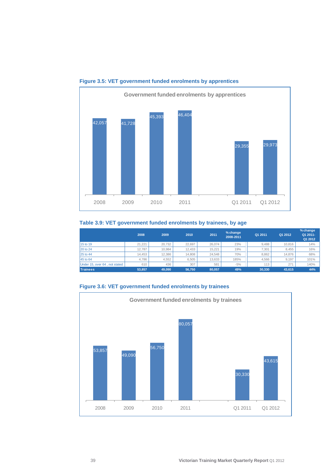

# **Figure 3.5: VET government funded enrolments by apprentices**

# **Table 3.9: VET government funded enrolments by trainees, by age**

|                               | 2008   | 2009   | 2010   | 2011   | % change<br>2008-2011 | Q1 2011 | Q1 2012 | % change<br>Q1 2011-<br>Q1 2012 |
|-------------------------------|--------|--------|--------|--------|-----------------------|---------|---------|---------------------------------|
| 15 to 19                      | 21.221 | 20.732 | 22.697 | 26.074 | 23%                   | 9.488   | 10,816  | 14%                             |
| 20 to 24                      | 12.787 | 10.984 | 12,433 | 15.221 | 19%                   | 7.301   | 8.455   | 16%                             |
| 25 to 44                      | 14.453 | 12.386 | 14.808 | 24.548 | 70%                   | 8.862   | 14.876  | 68%                             |
| 45 to 64                      | 4.786  | 4.552  | 6.505  | 13.633 | 185%                  | 4.566   | 9.197   | 101%                            |
| Under 15, over 64, not stated | 610    | 436    | 307    | 581    | $-5%$                 | 113     | 271     | 140%                            |
| <b>Trainees</b>               | 53.857 | 49.090 | 56.750 | 80.057 | 49%                   | 30,330  | 43,615  | 44%                             |



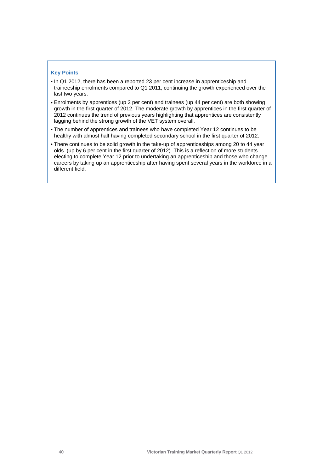### **Key Points**

- In Q1 2012, there has been a reported 23 per cent increase in apprenticeship and traineeship enrolments compared to Q1 2011, continuing the growth experienced over the last two years.
- Enrolments by apprentices (up 2 per cent) and trainees (up 44 per cent) are both showing growth in the first quarter of 2012. The moderate growth by apprentices in the first quarter of 2012 continues the trend of previous years highlighting that apprentices are consistently lagging behind the strong growth of the VET system overall.
- The number of apprentices and trainees who have completed Year 12 continues to be healthy with almost half having completed secondary school in the first quarter of 2012.
- There continues to be solid growth in the take-up of apprenticeships among 20 to 44 year olds (up by 6 per cent in the first quarter of 2012). This is a reflection of more students electing to complete Year 12 prior to undertaking an apprenticeship and those who change careers by taking up an apprenticeship after having spent several years in the workforce in a different field.